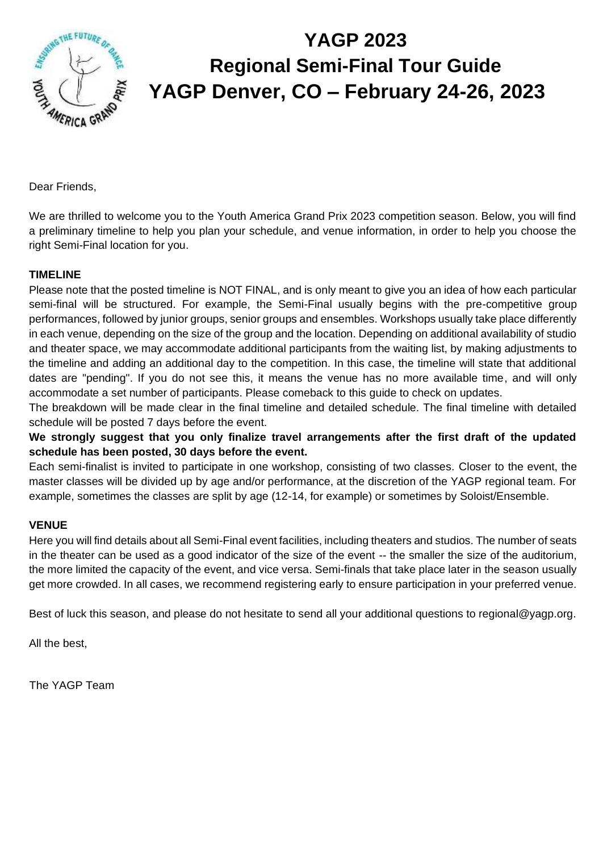

# **YAGP 2023 Regional Semi-Final Tour Guide YAGP Denver, CO – February 24-26, 2023**

Dear Friends,

We are thrilled to welcome you to the Youth America Grand Prix 2023 competition season. Below, you will find a preliminary timeline to help you plan your schedule, and venue information, in order to help you choose the right Semi-Final location for you.

#### **TIMELINE**

Please note that the posted timeline is NOT FINAL, and is only meant to give you an idea of how each particular semi-final will be structured. For example, the Semi-Final usually begins with the pre-competitive group performances, followed by junior groups, senior groups and ensembles. Workshops usually take place differently in each venue, depending on the size of the group and the location. Depending on additional availability of studio and theater space, we may accommodate additional participants from the waiting list, by making adjustments to the timeline and adding an additional day to the competition. In this case, the timeline will state that additional dates are "pending". If you do not see this, it means the venue has no more available time, and will only accommodate a set number of participants. Please comeback to this guide to check on updates.

The breakdown will be made clear in the final timeline and detailed schedule. The final timeline with detailed schedule will be posted 7 days before the event.

**We strongly suggest that you only finalize travel arrangements after the first draft of the updated schedule has been posted, 30 days before the event.** 

Each semi-finalist is invited to participate in one workshop, consisting of two classes. Closer to the event, the master classes will be divided up by age and/or performance, at the discretion of the YAGP regional team. For example, sometimes the classes are split by age (12-14, for example) or sometimes by Soloist/Ensemble.

#### **VENUE**

Here you will find details about all Semi-Final event facilities, including theaters and studios. The number of seats in the theater can be used as a good indicator of the size of the event -- the smaller the size of the auditorium, the more limited the capacity of the event, and vice versa. Semi-finals that take place later in the season usually get more crowded. In all cases, we recommend registering early to ensure participation in your preferred venue.

Best of luck this season, and please do not hesitate to send all your additional questions to regional@yagp.org.

All the best,

The YAGP Team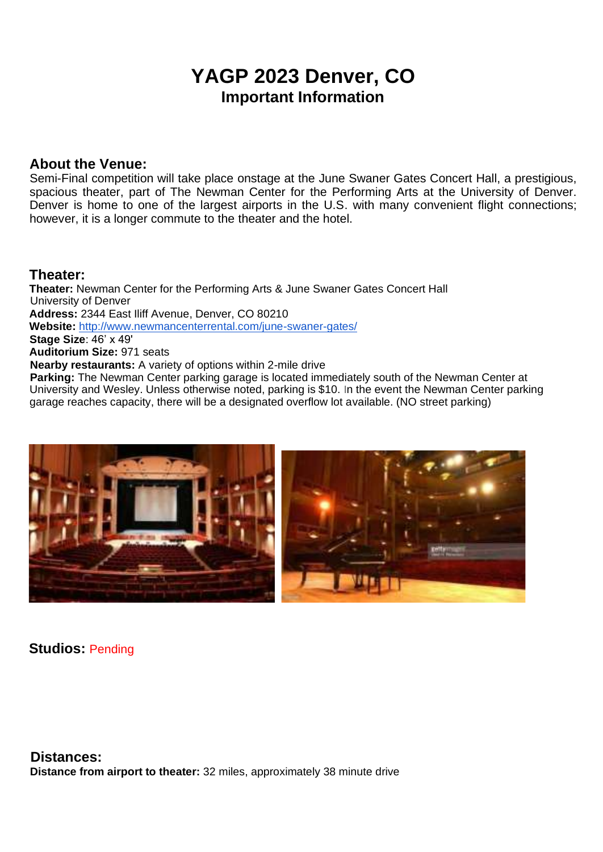## **YAGP 2023 Denver, CO Important Information**

### **About the Venue:**

Semi-Final competition will take place onstage at the June Swaner Gates Concert Hall, a prestigious, spacious theater, part of The Newman Center for the Performing Arts at the University of Denver. Denver is home to one of the largest airports in the U.S. with many convenient flight connections; however, it is a longer commute to the theater and the hotel.

### **Theater:**

**Theater:** Newman Center for the Performing Arts & June Swaner Gates Concert Hall University of Denver **Address:** 2344 East Iliff Avenue, Denver, CO 80210 **Website:** http://www.newmancenterrental.com/june-swaner-gates/ **Stage Size**: 46' x 49' **Auditorium Size:** 971 seats **Nearby restaurants:** A variety of options within 2-mile drive **Parking:** The Newman Center parking garage is located immediately south of the Newman Center at

University and Wesley. Unless otherwise noted, parking is \$10. In the event the Newman Center parking garage reaches capacity, there will be a designated overflow lot available. (NO street parking)



**Studios:** Pending